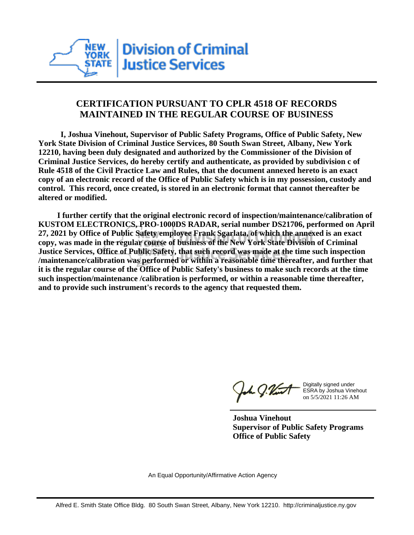

## **CERTIFICATION PURSUANT TO CPLR 4518 OF RECORDS MAINTAINED IN THE REGULAR COURSE OF BUSINESS**

 **I, Joshua Vinehout, Supervisor of Public Safety Programs, Office of Public Safety, New York State Division of Criminal Justice Services, 80 South Swan Street, Albany, New York 12210, having been duly designated and authorized by the Commissioner of the Division of Criminal Justice Services, do hereby certify and authenticate, as provided by subdivision c of Rule 4518 of the Civil Practice Law and Rules, that the document annexed hereto is an exact copy of an electronic record of the Office of Public Safety which is in my possession, custody and control. This record, once created, is stored in an electronic format that cannot thereafter be altered or modified.**

 **I further certify that the original electronic record of inspection/maintenance/calibration of KUSTOM ELECTRONICS, PRO-1000DS RADAR, serial number DS21706, performed on April 27, 2021 by Office of Public Safety employee Frank Sgarlata, of which the annexed is an exact copy, was made in the regular course of business of the New York State Division of Criminal Justice Services, Office of Public Safety, that such record was made at the time such inspection /maintenance/calibration was performed or within a reasonable time thereafter, and further that it is the regular course of the Office of Public Safety's business to make such records at the time such inspection/maintenance /calibration is performed, or within a reasonable time thereafter, and to provide such instrument's records to the agency that requested them.**

the J. Vint

Digitally signed under ESRA by Joshua Vinehout on 5/5/2021 11:26 AM

**Joshua Vinehout Supervisor of Public Safety Programs Office of Public Safety**

An Equal Opportunity/Affirmative Action Agency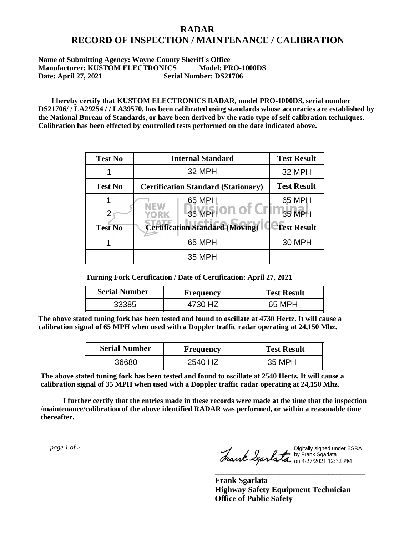## **RADAR RECORD OF INSPECTION / MAINTENANCE / CALIBRATION**

## **Name of Submitting Agency: Wayne County Sheriff`s Office Manufacturer: KUSTOM ELECTRONICS Model: PRO-1000DS Date: April 27, 2021 Serial Number: DS21706**

 **I hereby certify that KUSTOM ELECTRONICS RADAR, model PRO-1000DS, serial number DS21706/ / LA29254 / / LA39570, has been calibrated using standards whose accuracies are established by the National Bureau of Standards, or have been derived by the ratio type of self calibration techniques. Calibration has been effected by controlled tests performed on the date indicated above.**

| <b>Test No</b> | <b>Internal Standard</b>                   | <b>Test Result</b> |
|----------------|--------------------------------------------|--------------------|
|                | 32 MPH                                     | 32 MPH             |
| <b>Test No</b> | <b>Certification Standard (Stationary)</b> | <b>Test Result</b> |
|                | 65 MPH                                     | 65 MPH             |
|                | 35 MPH<br>YORK                             | <b>35 MPH</b>      |
| <b>Test No</b> | <b>Certification Standard (Moving)</b>     | <b>Test Result</b> |
|                | 65 MPH                                     | <b>30 MPH</b>      |
|                | 35 MPH                                     |                    |

**Turning Fork Certification / Date of Certification: April 27, 2021**

| <b>Serial Number</b> | <b>Frequency</b> | <b>Test Result</b> |
|----------------------|------------------|--------------------|
| 33385                |                  | 65 MPH             |

**The above stated tuning fork has been tested and found to oscillate at 4730 Hertz. It will cause a calibration signal of 65 MPH when used with a Doppler traffic radar operating at 24,150 Mhz.**

| <b>Serial Number</b> | <b>Frequency</b> | <b>Test Result</b> |
|----------------------|------------------|--------------------|
| 36680                | 2540 HZ          | 35 MPH             |

**The above stated tuning fork has been tested and found to oscillate at 2540 Hertz. It will cause a calibration signal of 35 MPH when used with a Doppler traffic radar operating at 24,150 Mhz.**

 **I further certify that the entries made in these records were made at the time that the inspection /maintenance/calibration of the above identified RADAR was performed, or within a reasonable time thereafter.**

 *page 1 of 2* 

Digitally signed under ESRA by Frank Sgarlata on 4/27/2021 12:32 PM

**\_\_\_\_\_\_\_\_\_\_\_\_\_\_\_\_\_\_\_\_\_\_\_\_\_\_\_\_\_\_\_\_\_\_\_\_\_**

**Frank Sgarlata Highway Safety Equipment Technician Office of Public Safety**